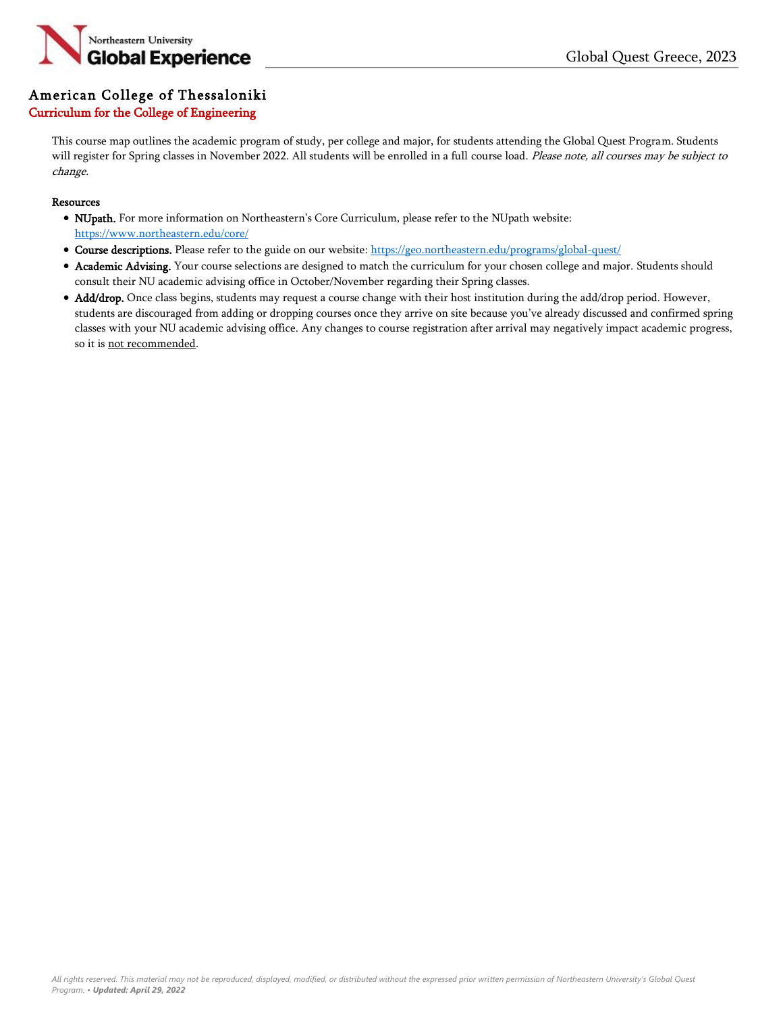

## American College of Thessaloniki

## Curriculum for the College of Engineering

This course map outlines the academic program of study, per college and major, for students attending the Global Quest Program. Students will register for Spring classes in November 2022. All students will be enrolled in a full course load. Please note, all courses may be subject to change.

## **Resources**

- NUpath. For more information on Northeastern's Core Curriculum, please refer to the NUpath website: <https://www.northeastern.edu/core/>
- Course descriptions. Please refer to the guide on our website: <https://geo.northeastern.edu/programs/global-quest/>
- Academic Advising. Your course selections are designed to match the curriculum for your chosen college and major. Students should consult their NU academic advising office in October/November regarding their Spring classes.
- Add/drop. Once class begins, students may request a course change with their host institution during the add/drop period. However, students are discouraged from adding or dropping courses once they arrive on site because you've already discussed and confirmed spring classes with your NU academic advising office. Any changes to course registration after arrival may negatively impact academic progress, so it is not recommended.